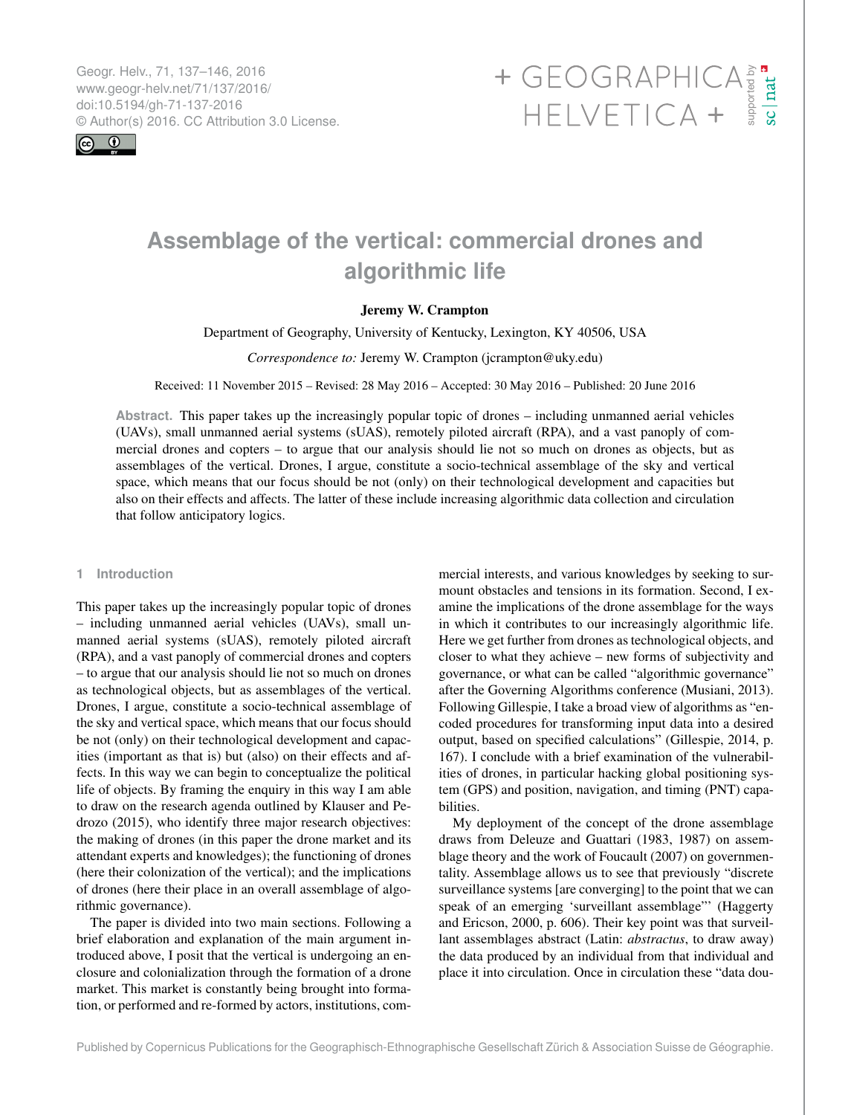<span id="page-0-0"></span>Geogr. Helv., 71, 137–146, 2016 www.geogr-helv.net/71/137/2016/ doi:10.5194/gh-71-137-2016<br>© Author(s) 2016. CC Attribution 3.0 License.



# $\begin{array}{cccccccccccccc} + & GEOGRAPHICA & \frac{1}{8} & \frac{1}{8} \\ & HELVETICA & + & \frac{5}{8} & \frac{1}{8} \end{array}$

# **Assemblage of the vertical: commercial drones and algorithmic life**

# Jeremy W. Crampton

Department of Geography, University of Kentucky, Lexington, KY 40506, USA

*Correspondence to:* Jeremy W. Crampton (jcrampton@uky.edu)

Received: 11 November 2015 – Revised: 28 May 2016 – Accepted: 30 May 2016 – Published: 20 June 2016

**Abstract.** This paper takes up the increasingly popular topic of drones – including unmanned aerial vehicles (UAVs), small unmanned aerial systems (sUAS), remotely piloted aircraft (RPA), and a vast panoply of commercial drones and copters – to argue that our analysis should lie not so much on drones as objects, but as assemblages of the vertical. Drones, I argue, constitute a socio-technical assemblage of the sky and vertical space, which means that our focus should be not (only) on their technological development and capacities but also on their effects and affects. The latter of these include increasing algorithmic data collection and circulation that follow anticipatory logics.

#### **1 Introduction**

This paper takes up the increasingly popular topic of drones – including unmanned aerial vehicles (UAVs), small unmanned aerial systems (sUAS), remotely piloted aircraft (RPA), and a vast panoply of commercial drones and copters – to argue that our analysis should lie not so much on drones as technological objects, but as assemblages of the vertical. Drones, I argue, constitute a socio-technical assemblage of the sky and vertical space, which means that our focus should be not (only) on their technological development and capacities (important as that is) but (also) on their effects and affects. In this way we can begin to conceptualize the political life of objects. By framing the enquiry in this way I am able to draw on the research agenda outlined by Klauser and Pedrozo (2015), who identify three major research objectives: the making of drones (in this paper the drone market and its attendant experts and knowledges); the functioning of drones (here their colonization of the vertical); and the implications of drones (here their place in an overall assemblage of algorithmic governance).

The paper is divided into two main sections. Following a brief elaboration and explanation of the main argument introduced above, I posit that the vertical is undergoing an enclosure and colonialization through the formation of a drone market. This market is constantly being brought into formation, or performed and re-formed by actors, institutions, commercial interests, and various knowledges by seeking to surmount obstacles and tensions in its formation. Second, I examine the implications of the drone assemblage for the ways in which it contributes to our increasingly algorithmic life. Here we get further from drones as technological objects, and closer to what they achieve – new forms of subjectivity and governance, or what can be called "algorithmic governance" after the Governing Algorithms conference (Musiani, 2013). Following Gillespie, I take a broad view of algorithms as "encoded procedures for transforming input data into a desired output, based on specified calculations" (Gillespie, 2014, p. 167). I conclude with a brief examination of the vulnerabilities of drones, in particular hacking global positioning system (GPS) and position, navigation, and timing (PNT) capabilities.

My deployment of the concept of the drone assemblage draws from Deleuze and Guattari (1983, 1987) on assemblage theory and the work of Foucault (2007) on governmentality. Assemblage allows us to see that previously "discrete surveillance systems [are converging] to the point that we can speak of an emerging 'surveillant assemblage"' (Haggerty and Ericson, 2000, p. 606). Their key point was that surveillant assemblages abstract (Latin: *abstractus*, to draw away) the data produced by an individual from that individual and place it into circulation. Once in circulation these "data dou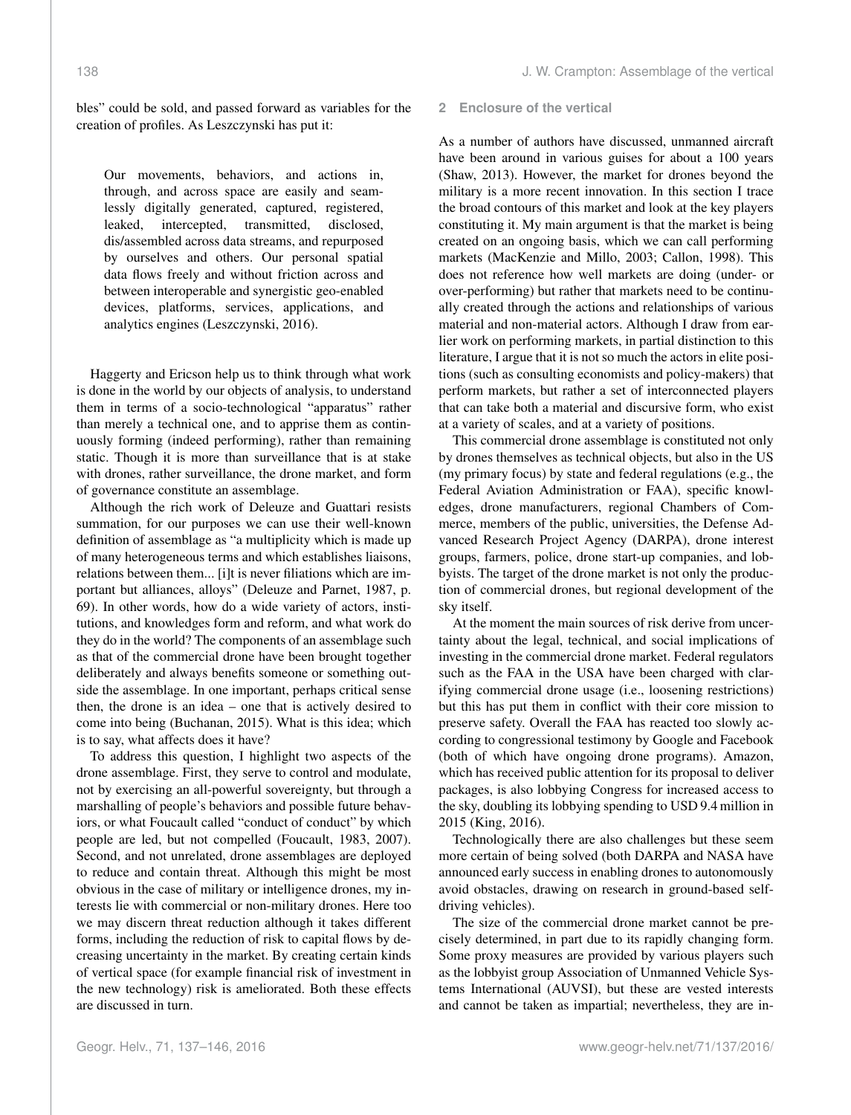bles" could be sold, and passed forward as variables for the creation of profiles. As Leszczynski has put it:

Our movements, behaviors, and actions in, through, and across space are easily and seamlessly digitally generated, captured, registered, leaked, intercepted, transmitted, disclosed, dis/assembled across data streams, and repurposed by ourselves and others. Our personal spatial data flows freely and without friction across and between interoperable and synergistic geo-enabled devices, platforms, services, applications, and analytics engines (Leszczynski, 2016).

Haggerty and Ericson help us to think through what work is done in the world by our objects of analysis, to understand them in terms of a socio-technological "apparatus" rather than merely a technical one, and to apprise them as continuously forming (indeed performing), rather than remaining static. Though it is more than surveillance that is at stake with drones, rather surveillance, the drone market, and form of governance constitute an assemblage.

Although the rich work of Deleuze and Guattari resists summation, for our purposes we can use their well-known definition of assemblage as "a multiplicity which is made up of many heterogeneous terms and which establishes liaisons, relations between them... [i]t is never filiations which are important but alliances, alloys" (Deleuze and Parnet, 1987, p. 69). In other words, how do a wide variety of actors, institutions, and knowledges form and reform, and what work do they do in the world? The components of an assemblage such as that of the commercial drone have been brought together deliberately and always benefits someone or something outside the assemblage. In one important, perhaps critical sense then, the drone is an idea – one that is actively desired to come into being (Buchanan, 2015). What is this idea; which is to say, what affects does it have?

To address this question, I highlight two aspects of the drone assemblage. First, they serve to control and modulate, not by exercising an all-powerful sovereignty, but through a marshalling of people's behaviors and possible future behaviors, or what Foucault called "conduct of conduct" by which people are led, but not compelled (Foucault, 1983, 2007). Second, and not unrelated, drone assemblages are deployed to reduce and contain threat. Although this might be most obvious in the case of military or intelligence drones, my interests lie with commercial or non-military drones. Here too we may discern threat reduction although it takes different forms, including the reduction of risk to capital flows by decreasing uncertainty in the market. By creating certain kinds of vertical space (for example financial risk of investment in the new technology) risk is ameliorated. Both these effects are discussed in turn.

#### **2 Enclosure of the vertical**

As a number of authors have discussed, unmanned aircraft have been around in various guises for about a 100 years (Shaw, 2013). However, the market for drones beyond the military is a more recent innovation. In this section I trace the broad contours of this market and look at the key players constituting it. My main argument is that the market is being created on an ongoing basis, which we can call performing markets (MacKenzie and Millo, 2003; Callon, 1998). This does not reference how well markets are doing (under- or over-performing) but rather that markets need to be continually created through the actions and relationships of various material and non-material actors. Although I draw from earlier work on performing markets, in partial distinction to this literature, I argue that it is not so much the actors in elite positions (such as consulting economists and policy-makers) that perform markets, but rather a set of interconnected players that can take both a material and discursive form, who exist at a variety of scales, and at a variety of positions.

This commercial drone assemblage is constituted not only by drones themselves as technical objects, but also in the US (my primary focus) by state and federal regulations (e.g., the Federal Aviation Administration or FAA), specific knowledges, drone manufacturers, regional Chambers of Commerce, members of the public, universities, the Defense Advanced Research Project Agency (DARPA), drone interest groups, farmers, police, drone start-up companies, and lobbyists. The target of the drone market is not only the production of commercial drones, but regional development of the sky itself.

At the moment the main sources of risk derive from uncertainty about the legal, technical, and social implications of investing in the commercial drone market. Federal regulators such as the FAA in the USA have been charged with clarifying commercial drone usage (i.e., loosening restrictions) but this has put them in conflict with their core mission to preserve safety. Overall the FAA has reacted too slowly according to congressional testimony by Google and Facebook (both of which have ongoing drone programs). Amazon, which has received public attention for its proposal to deliver packages, is also lobbying Congress for increased access to the sky, doubling its lobbying spending to USD 9.4 million in 2015 (King, 2016).

Technologically there are also challenges but these seem more certain of being solved (both DARPA and NASA have announced early success in enabling drones to autonomously avoid obstacles, drawing on research in ground-based selfdriving vehicles).

The size of the commercial drone market cannot be precisely determined, in part due to its rapidly changing form. Some proxy measures are provided by various players such as the lobbyist group Association of Unmanned Vehicle Systems International (AUVSI), but these are vested interests and cannot be taken as impartial; nevertheless, they are in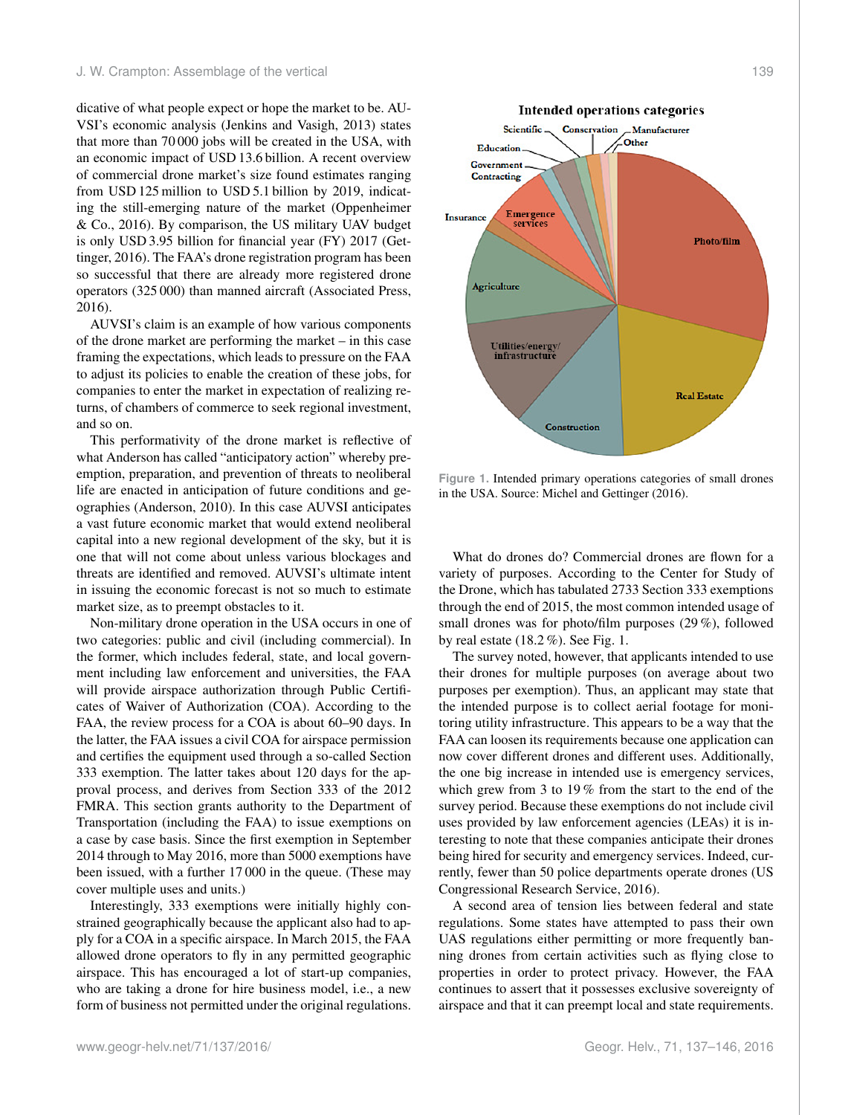dicative of what people expect or hope the market to be. AU-VSI's economic analysis (Jenkins and Vasigh, 2013) states that more than 70 000 jobs will be created in the USA, with an economic impact of USD 13.6 billion. A recent overview of commercial drone market's size found estimates ranging from USD 125 million to USD 5.1 billion by 2019, indicating the still-emerging nature of the market (Oppenheimer & Co., 2016). By comparison, the US military UAV budget is only USD 3.95 billion for financial year (FY) 2017 (Gettinger, 2016). The FAA's drone registration program has been so successful that there are already more registered drone operators (325 000) than manned aircraft (Associated Press, 2016).

AUVSI's claim is an example of how various components of the drone market are performing the market – in this case framing the expectations, which leads to pressure on the FAA to adjust its policies to enable the creation of these jobs, for companies to enter the market in expectation of realizing returns, of chambers of commerce to seek regional investment, and so on.

This performativity of the drone market is reflective of what Anderson has called "anticipatory action" whereby preemption, preparation, and prevention of threats to neoliberal life are enacted in anticipation of future conditions and geographies (Anderson, 2010). In this case AUVSI anticipates a vast future economic market that would extend neoliberal capital into a new regional development of the sky, but it is one that will not come about unless various blockages and threats are identified and removed. AUVSI's ultimate intent in issuing the economic forecast is not so much to estimate market size, as to preempt obstacles to it.

Non-military drone operation in the USA occurs in one of two categories: public and civil (including commercial). In the former, which includes federal, state, and local government including law enforcement and universities, the FAA will provide airspace authorization through Public Certificates of Waiver of Authorization (COA). According to the FAA, the review process for a COA is about 60–90 days. In the latter, the FAA issues a civil COA for airspace permission and certifies the equipment used through a so-called Section 333 exemption. The latter takes about 120 days for the approval process, and derives from Section 333 of the 2012 FMRA. This section grants authority to the Department of Transportation (including the FAA) to issue exemptions on a case by case basis. Since the first exemption in September 2014 through to May 2016, more than 5000 exemptions have been issued, with a further 17 000 in the queue. (These may cover multiple uses and units.)

Interestingly, 333 exemptions were initially highly constrained geographically because the applicant also had to apply for a COA in a specific airspace. In March 2015, the FAA allowed drone operators to fly in any permitted geographic airspace. This has encouraged a lot of start-up companies, who are taking a drone for hire business model, i.e., a new form of business not permitted under the original regulations.



**Real Estate** 

Insurance

Utilities/energy<br>infrastructure

**Figure 1.** Intended primary operations categories of small drones in the USA. Source: Michel and Gettinger (2016).

**Construction** 

What do drones do? Commercial drones are flown for a variety of purposes. According to the Center for Study of the Drone, which has tabulated 2733 Section 333 exemptions through the end of 2015, the most common intended usage of small drones was for photo/film purposes (29 %), followed by real estate (18.2 %). See Fig. 1.

The survey noted, however, that applicants intended to use their drones for multiple purposes (on average about two purposes per exemption). Thus, an applicant may state that the intended purpose is to collect aerial footage for monitoring utility infrastructure. This appears to be a way that the FAA can loosen its requirements because one application can now cover different drones and different uses. Additionally, the one big increase in intended use is emergency services, which grew from 3 to 19 % from the start to the end of the survey period. Because these exemptions do not include civil uses provided by law enforcement agencies (LEAs) it is interesting to note that these companies anticipate their drones being hired for security and emergency services. Indeed, currently, fewer than 50 police departments operate drones (US Congressional Research Service, 2016).

A second area of tension lies between federal and state regulations. Some states have attempted to pass their own UAS regulations either permitting or more frequently banning drones from certain activities such as flying close to properties in order to protect privacy. However, the FAA continues to assert that it possesses exclusive sovereignty of airspace and that it can preempt local and state requirements.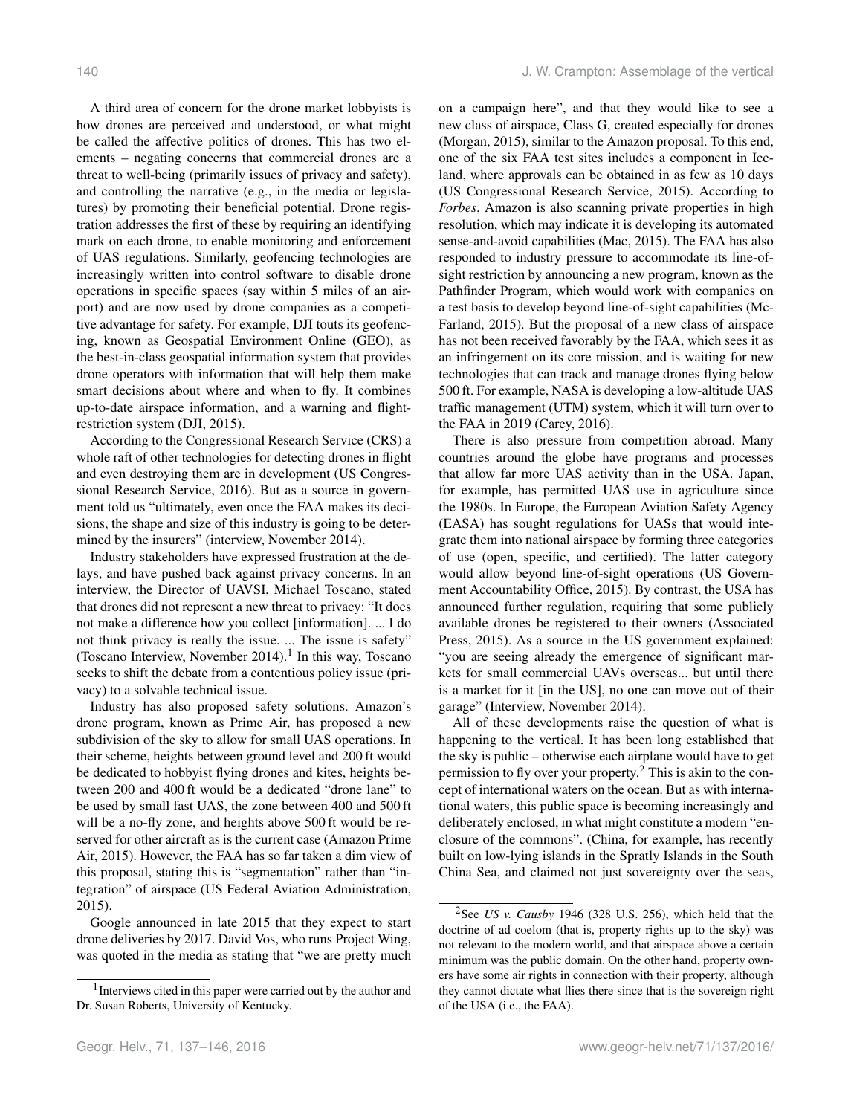A third area of concern for the drone market lobbyists is how drones are perceived and understood, or what might be called the affective politics of drones. This has two elements – negating concerns that commercial drones are a threat to well-being (primarily issues of privacy and safety), and controlling the narrative (e.g., in the media or legislatures) by promoting their beneficial potential. Drone registration addresses the first of these by requiring an identifying mark on each drone, to enable monitoring and enforcement of UAS regulations. Similarly, geofencing technologies are increasingly written into control software to disable drone operations in specific spaces (say within 5 miles of an airport) and are now used by drone companies as a competitive advantage for safety. For example, DJI touts its geofencing, known as Geospatial Environment Online (GEO), as the best-in-class geospatial information system that provides drone operators with information that will help them make smart decisions about where and when to fly. It combines up-to-date airspace information, and a warning and flightrestriction system (DJI, 2015).

According to the Congressional Research Service (CRS) a whole raft of other technologies for detecting drones in flight and even destroying them are in development (US Congressional Research Service, 2016). But as a source in government told us "ultimately, even once the FAA makes its decisions, the shape and size of this industry is going to be determined by the insurers" (interview, November 2014).

Industry stakeholders have expressed frustration at the delays, and have pushed back against privacy concerns. In an interview, the Director of UAVSI, Michael Toscano, stated that drones did not represent a new threat to privacy: "It does not make a difference how you collect [information]. ... I do not think privacy is really the issue. ... The issue is safety" (Toscano Interview, November 2014).<sup>1</sup> In this way, Toscano seeks to shift the debate from a contentious policy issue (privacy) to a solvable technical issue.

Industry has also proposed safety solutions. Amazon's drone program, known as Prime Air, has proposed a new subdivision of the sky to allow for small UAS operations. In their scheme, heights between ground level and 200 ft would be dedicated to hobbyist flying drones and kites, heights between 200 and 400 ft would be a dedicated "drone lane" to be used by small fast UAS, the zone between 400 and 500 ft will be a no-fly zone, and heights above 500 ft would be reserved for other aircraft as is the current case (Amazon Prime Air, 2015). However, the FAA has so far taken a dim view of this proposal, stating this is "segmentation" rather than "integration" of airspace (US Federal Aviation Administration, 2015).

Google announced in late 2015 that they expect to start drone deliveries by 2017. David Vos, who runs Project Wing, was quoted in the media as stating that "we are pretty much on a campaign here", and that they would like to see a new class of airspace, Class G, created especially for drones (Morgan, 2015), similar to the Amazon proposal. To this end, one of the six FAA test sites includes a component in Iceland, where approvals can be obtained in as few as 10 days (US Congressional Research Service, 2015). According to *Forbes*, Amazon is also scanning private properties in high resolution, which may indicate it is developing its automated sense-and-avoid capabilities (Mac, 2015). The FAA has also responded to industry pressure to accommodate its line-ofsight restriction by announcing a new program, known as the Pathfinder Program, which would work with companies on a test basis to develop beyond line-of-sight capabilities (Mc-Farland, 2015). But the proposal of a new class of airspace has not been received favorably by the FAA, which sees it as an infringement on its core mission, and is waiting for new technologies that can track and manage drones flying below 500 ft. For example, NASA is developing a low-altitude UAS traffic management (UTM) system, which it will turn over to the FAA in 2019 (Carey, 2016).

There is also pressure from competition abroad. Many countries around the globe have programs and processes that allow far more UAS activity than in the USA. Japan, for example, has permitted UAS use in agriculture since the 1980s. In Europe, the European Aviation Safety Agency (EASA) has sought regulations for UASs that would integrate them into national airspace by forming three categories of use (open, specific, and certified). The latter category would allow beyond line-of-sight operations (US Government Accountability Office, 2015). By contrast, the USA has announced further regulation, requiring that some publicly available drones be registered to their owners (Associated Press, 2015). As a source in the US government explained: "you are seeing already the emergence of significant markets for small commercial UAVs overseas... but until there is a market for it [in the US], no one can move out of their garage" (Interview, November 2014).

All of these developments raise the question of what is happening to the vertical. It has been long established that the sky is public – otherwise each airplane would have to get permission to fly over your property.<sup>2</sup> This is akin to the concept of international waters on the ocean. But as with international waters, this public space is becoming increasingly and deliberately enclosed, in what might constitute a modern "enclosure of the commons". (China, for example, has recently built on low-lying islands in the Spratly Islands in the South China Sea, and claimed not just sovereignty over the seas,

<sup>&</sup>lt;sup>1</sup> Interviews cited in this paper were carried out by the author and Dr. Susan Roberts, University of Kentucky.

<sup>2</sup>See *US v. Causby* 1946 (328 U.S. 256), which held that the doctrine of ad coelom (that is, property rights up to the sky) was not relevant to the modern world, and that airspace above a certain minimum was the public domain. On the other hand, property owners have some air rights in connection with their property, although they cannot dictate what flies there since that is the sovereign right of the USA (i.e., the FAA).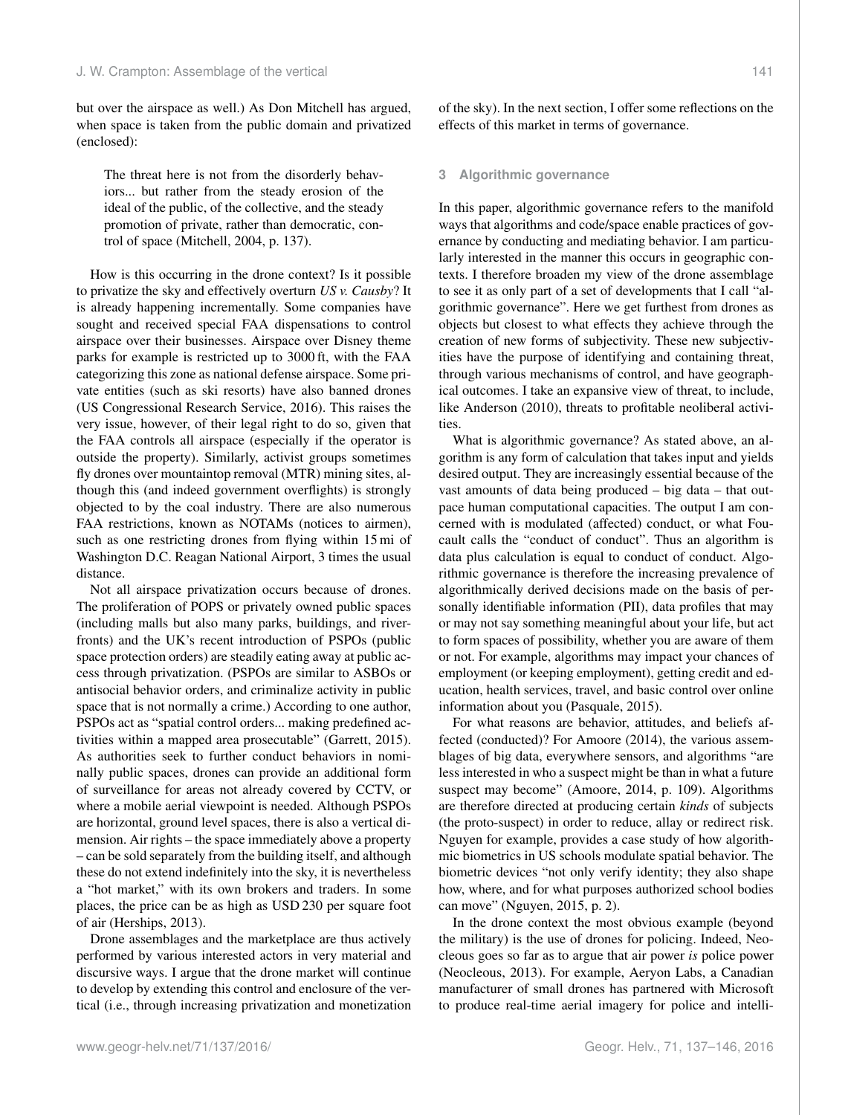but over the airspace as well.) As Don Mitchell has argued, when space is taken from the public domain and privatized (enclosed):

The threat here is not from the disorderly behaviors... but rather from the steady erosion of the ideal of the public, of the collective, and the steady promotion of private, rather than democratic, control of space (Mitchell, 2004, p. 137).

How is this occurring in the drone context? Is it possible to privatize the sky and effectively overturn *US v. Causby*? It is already happening incrementally. Some companies have sought and received special FAA dispensations to control airspace over their businesses. Airspace over Disney theme parks for example is restricted up to 3000 ft, with the FAA categorizing this zone as national defense airspace. Some private entities (such as ski resorts) have also banned drones (US Congressional Research Service, 2016). This raises the very issue, however, of their legal right to do so, given that the FAA controls all airspace (especially if the operator is outside the property). Similarly, activist groups sometimes fly drones over mountaintop removal (MTR) mining sites, although this (and indeed government overflights) is strongly objected to by the coal industry. There are also numerous FAA restrictions, known as NOTAMs (notices to airmen), such as one restricting drones from flying within 15 mi of Washington D.C. Reagan National Airport, 3 times the usual distance.

Not all airspace privatization occurs because of drones. The proliferation of POPS or privately owned public spaces (including malls but also many parks, buildings, and riverfronts) and the UK's recent introduction of PSPOs (public space protection orders) are steadily eating away at public access through privatization. (PSPOs are similar to ASBOs or antisocial behavior orders, and criminalize activity in public space that is not normally a crime.) According to one author, PSPOs act as "spatial control orders... making predefined activities within a mapped area prosecutable" (Garrett, 2015). As authorities seek to further conduct behaviors in nominally public spaces, drones can provide an additional form of surveillance for areas not already covered by CCTV, or where a mobile aerial viewpoint is needed. Although PSPOs are horizontal, ground level spaces, there is also a vertical dimension. Air rights – the space immediately above a property – can be sold separately from the building itself, and although these do not extend indefinitely into the sky, it is nevertheless a "hot market," with its own brokers and traders. In some places, the price can be as high as USD 230 per square foot of air (Herships, 2013).

Drone assemblages and the marketplace are thus actively performed by various interested actors in very material and discursive ways. I argue that the drone market will continue to develop by extending this control and enclosure of the vertical (i.e., through increasing privatization and monetization of the sky). In the next section, I offer some reflections on the effects of this market in terms of governance.

# **3 Algorithmic governance**

In this paper, algorithmic governance refers to the manifold ways that algorithms and code/space enable practices of governance by conducting and mediating behavior. I am particularly interested in the manner this occurs in geographic contexts. I therefore broaden my view of the drone assemblage to see it as only part of a set of developments that I call "algorithmic governance". Here we get furthest from drones as objects but closest to what effects they achieve through the creation of new forms of subjectivity. These new subjectivities have the purpose of identifying and containing threat, through various mechanisms of control, and have geographical outcomes. I take an expansive view of threat, to include, like Anderson (2010), threats to profitable neoliberal activities.

What is algorithmic governance? As stated above, an algorithm is any form of calculation that takes input and yields desired output. They are increasingly essential because of the vast amounts of data being produced – big data – that outpace human computational capacities. The output I am concerned with is modulated (affected) conduct, or what Foucault calls the "conduct of conduct". Thus an algorithm is data plus calculation is equal to conduct of conduct. Algorithmic governance is therefore the increasing prevalence of algorithmically derived decisions made on the basis of personally identifiable information (PII), data profiles that may or may not say something meaningful about your life, but act to form spaces of possibility, whether you are aware of them or not. For example, algorithms may impact your chances of employment (or keeping employment), getting credit and education, health services, travel, and basic control over online information about you (Pasquale, 2015).

For what reasons are behavior, attitudes, and beliefs affected (conducted)? For Amoore (2014), the various assemblages of big data, everywhere sensors, and algorithms "are less interested in who a suspect might be than in what a future suspect may become" (Amoore, 2014, p. 109). Algorithms are therefore directed at producing certain *kinds* of subjects (the proto-suspect) in order to reduce, allay or redirect risk. Nguyen for example, provides a case study of how algorithmic biometrics in US schools modulate spatial behavior. The biometric devices "not only verify identity; they also shape how, where, and for what purposes authorized school bodies can move" (Nguyen, 2015, p. 2).

In the drone context the most obvious example (beyond the military) is the use of drones for policing. Indeed, Neocleous goes so far as to argue that air power *is* police power (Neocleous, 2013). For example, Aeryon Labs, a Canadian manufacturer of small drones has partnered with Microsoft to produce real-time aerial imagery for police and intelli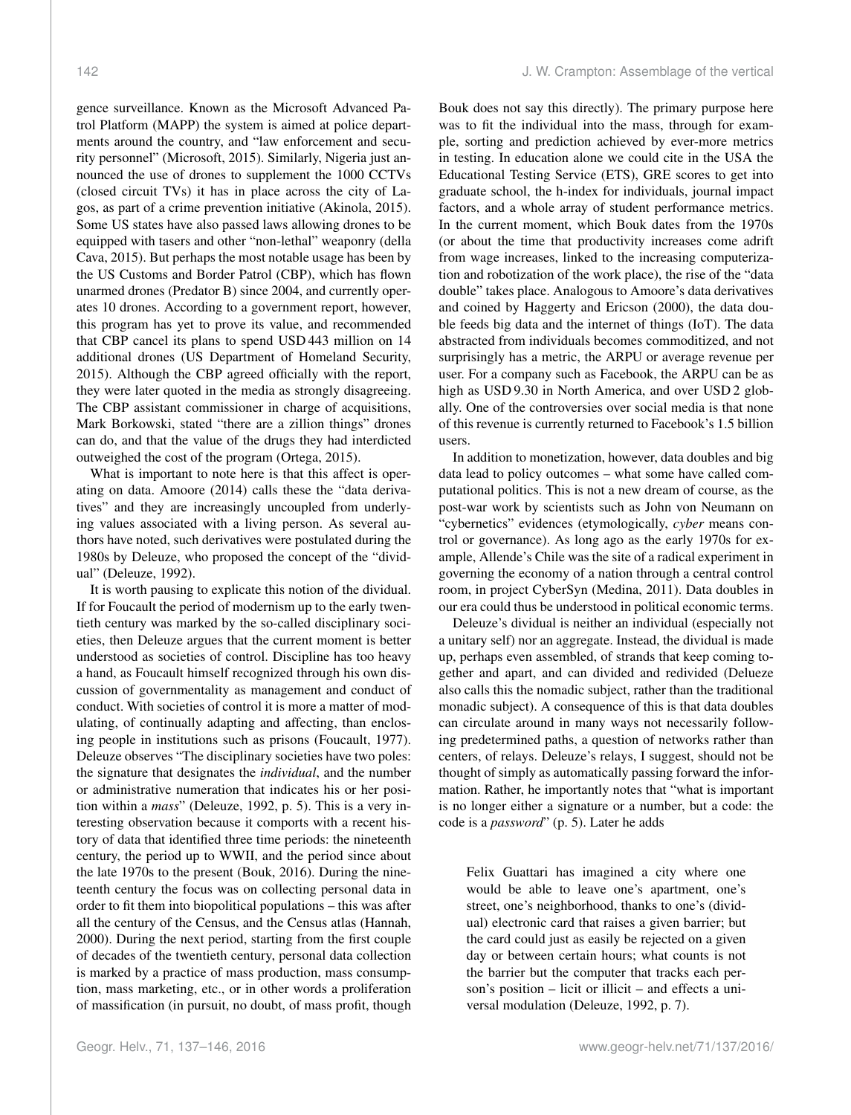gence surveillance. Known as the Microsoft Advanced Patrol Platform (MAPP) the system is aimed at police departments around the country, and "law enforcement and security personnel" (Microsoft, 2015). Similarly, Nigeria just announced the use of drones to supplement the 1000 CCTVs (closed circuit TVs) it has in place across the city of Lagos, as part of a crime prevention initiative (Akinola, 2015). Some US states have also passed laws allowing drones to be equipped with tasers and other "non-lethal" weaponry (della Cava, 2015). But perhaps the most notable usage has been by the US Customs and Border Patrol (CBP), which has flown unarmed drones (Predator B) since 2004, and currently operates 10 drones. According to a government report, however, this program has yet to prove its value, and recommended that CBP cancel its plans to spend USD 443 million on 14 additional drones (US Department of Homeland Security, 2015). Although the CBP agreed officially with the report, they were later quoted in the media as strongly disagreeing. The CBP assistant commissioner in charge of acquisitions, Mark Borkowski, stated "there are a zillion things" drones

outweighed the cost of the program (Ortega, 2015). What is important to note here is that this affect is operating on data. Amoore (2014) calls these the "data derivatives" and they are increasingly uncoupled from underlying values associated with a living person. As several authors have noted, such derivatives were postulated during the 1980s by Deleuze, who proposed the concept of the "dividual" (Deleuze, 1992).

can do, and that the value of the drugs they had interdicted

It is worth pausing to explicate this notion of the dividual. If for Foucault the period of modernism up to the early twentieth century was marked by the so-called disciplinary societies, then Deleuze argues that the current moment is better understood as societies of control. Discipline has too heavy a hand, as Foucault himself recognized through his own discussion of governmentality as management and conduct of conduct. With societies of control it is more a matter of modulating, of continually adapting and affecting, than enclosing people in institutions such as prisons (Foucault, 1977). Deleuze observes "The disciplinary societies have two poles: the signature that designates the *individual*, and the number or administrative numeration that indicates his or her position within a *mass*" (Deleuze, 1992, p. 5). This is a very interesting observation because it comports with a recent history of data that identified three time periods: the nineteenth century, the period up to WWII, and the period since about the late 1970s to the present (Bouk, 2016). During the nineteenth century the focus was on collecting personal data in order to fit them into biopolitical populations – this was after all the century of the Census, and the Census atlas (Hannah, 2000). During the next period, starting from the first couple of decades of the twentieth century, personal data collection is marked by a practice of mass production, mass consumption, mass marketing, etc., or in other words a proliferation of massification (in pursuit, no doubt, of mass profit, though

Bouk does not say this directly). The primary purpose here was to fit the individual into the mass, through for example, sorting and prediction achieved by ever-more metrics in testing. In education alone we could cite in the USA the Educational Testing Service (ETS), GRE scores to get into graduate school, the h-index for individuals, journal impact factors, and a whole array of student performance metrics. In the current moment, which Bouk dates from the 1970s (or about the time that productivity increases come adrift from wage increases, linked to the increasing computerization and robotization of the work place), the rise of the "data double" takes place. Analogous to Amoore's data derivatives and coined by Haggerty and Ericson (2000), the data double feeds big data and the internet of things (IoT). The data abstracted from individuals becomes commoditized, and not surprisingly has a metric, the ARPU or average revenue per user. For a company such as Facebook, the ARPU can be as high as USD 9.30 in North America, and over USD 2 globally. One of the controversies over social media is that none of this revenue is currently returned to Facebook's 1.5 billion users.

In addition to monetization, however, data doubles and big data lead to policy outcomes – what some have called computational politics. This is not a new dream of course, as the post-war work by scientists such as John von Neumann on "cybernetics" evidences (etymologically, *cyber* means control or governance). As long ago as the early 1970s for example, Allende's Chile was the site of a radical experiment in governing the economy of a nation through a central control room, in project CyberSyn (Medina, 2011). Data doubles in our era could thus be understood in political economic terms.

Deleuze's dividual is neither an individual (especially not a unitary self) nor an aggregate. Instead, the dividual is made up, perhaps even assembled, of strands that keep coming together and apart, and can divided and redivided (Delueze also calls this the nomadic subject, rather than the traditional monadic subject). A consequence of this is that data doubles can circulate around in many ways not necessarily following predetermined paths, a question of networks rather than centers, of relays. Deleuze's relays, I suggest, should not be thought of simply as automatically passing forward the information. Rather, he importantly notes that "what is important is no longer either a signature or a number, but a code: the code is a *password*" (p. 5). Later he adds

Felix Guattari has imagined a city where one would be able to leave one's apartment, one's street, one's neighborhood, thanks to one's (dividual) electronic card that raises a given barrier; but the card could just as easily be rejected on a given day or between certain hours; what counts is not the barrier but the computer that tracks each person's position – licit or illicit – and effects a universal modulation (Deleuze, 1992, p. 7).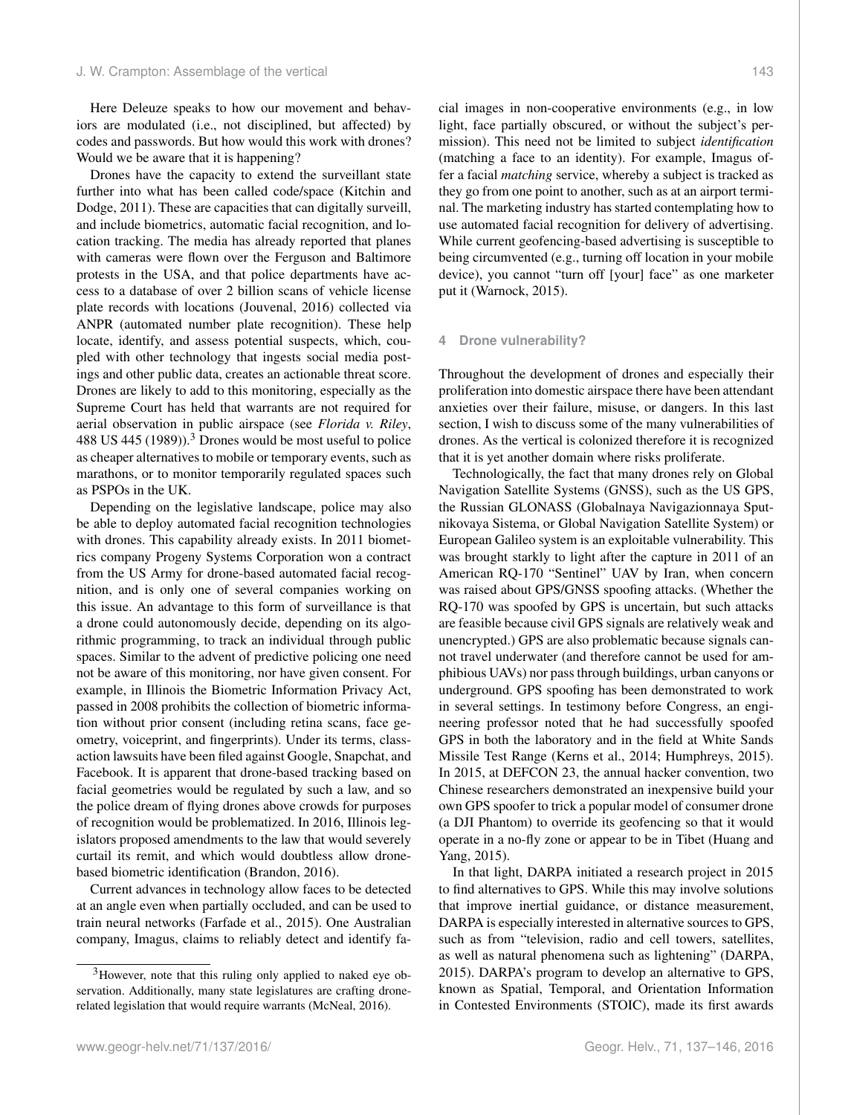Here Deleuze speaks to how our movement and behaviors are modulated (i.e., not disciplined, but affected) by codes and passwords. But how would this work with drones? Would we be aware that it is happening?

Drones have the capacity to extend the surveillant state further into what has been called code/space (Kitchin and Dodge, 2011). These are capacities that can digitally surveill, and include biometrics, automatic facial recognition, and location tracking. The media has already reported that planes with cameras were flown over the Ferguson and Baltimore protests in the USA, and that police departments have access to a database of over 2 billion scans of vehicle license plate records with locations (Jouvenal, 2016) collected via ANPR (automated number plate recognition). These help locate, identify, and assess potential suspects, which, coupled with other technology that ingests social media postings and other public data, creates an actionable threat score. Drones are likely to add to this monitoring, especially as the Supreme Court has held that warrants are not required for aerial observation in public airspace (see *Florida v. Riley*, 488 US 445 (1989)).<sup>3</sup> Drones would be most useful to police as cheaper alternatives to mobile or temporary events, such as marathons, or to monitor temporarily regulated spaces such as PSPOs in the UK.

Depending on the legislative landscape, police may also be able to deploy automated facial recognition technologies with drones. This capability already exists. In 2011 biometrics company Progeny Systems Corporation won a contract from the US Army for drone-based automated facial recognition, and is only one of several companies working on this issue. An advantage to this form of surveillance is that a drone could autonomously decide, depending on its algorithmic programming, to track an individual through public spaces. Similar to the advent of predictive policing one need not be aware of this monitoring, nor have given consent. For example, in Illinois the Biometric Information Privacy Act, passed in 2008 prohibits the collection of biometric information without prior consent (including retina scans, face geometry, voiceprint, and fingerprints). Under its terms, classaction lawsuits have been filed against Google, Snapchat, and Facebook. It is apparent that drone-based tracking based on facial geometries would be regulated by such a law, and so the police dream of flying drones above crowds for purposes of recognition would be problematized. In 2016, Illinois legislators proposed amendments to the law that would severely curtail its remit, and which would doubtless allow dronebased biometric identification (Brandon, 2016).

Current advances in technology allow faces to be detected at an angle even when partially occluded, and can be used to train neural networks (Farfade et al., 2015). One Australian company, Imagus, claims to reliably detect and identify facial images in non-cooperative environments (e.g., in low light, face partially obscured, or without the subject's permission). This need not be limited to subject *identification* (matching a face to an identity). For example, Imagus offer a facial *matching* service, whereby a subject is tracked as they go from one point to another, such as at an airport terminal. The marketing industry has started contemplating how to use automated facial recognition for delivery of advertising. While current geofencing-based advertising is susceptible to being circumvented (e.g., turning off location in your mobile device), you cannot "turn off [your] face" as one marketer put it (Warnock, 2015).

# **4 Drone vulnerability?**

Throughout the development of drones and especially their proliferation into domestic airspace there have been attendant anxieties over their failure, misuse, or dangers. In this last section, I wish to discuss some of the many vulnerabilities of drones. As the vertical is colonized therefore it is recognized that it is yet another domain where risks proliferate.

Technologically, the fact that many drones rely on Global Navigation Satellite Systems (GNSS), such as the US GPS, the Russian GLONASS (Globalnaya Navigazionnaya Sputnikovaya Sistema, or Global Navigation Satellite System) or European Galileo system is an exploitable vulnerability. This was brought starkly to light after the capture in 2011 of an American RQ-170 "Sentinel" UAV by Iran, when concern was raised about GPS/GNSS spoofing attacks. (Whether the RQ-170 was spoofed by GPS is uncertain, but such attacks are feasible because civil GPS signals are relatively weak and unencrypted.) GPS are also problematic because signals cannot travel underwater (and therefore cannot be used for amphibious UAVs) nor pass through buildings, urban canyons or underground. GPS spoofing has been demonstrated to work in several settings. In testimony before Congress, an engineering professor noted that he had successfully spoofed GPS in both the laboratory and in the field at White Sands Missile Test Range (Kerns et al., 2014; Humphreys, 2015). In 2015, at DEFCON 23, the annual hacker convention, two Chinese researchers demonstrated an inexpensive build your own GPS spoofer to trick a popular model of consumer drone (a DJI Phantom) to override its geofencing so that it would operate in a no-fly zone or appear to be in Tibet (Huang and Yang, 2015).

In that light, DARPA initiated a research project in 2015 to find alternatives to GPS. While this may involve solutions that improve inertial guidance, or distance measurement, DARPA is especially interested in alternative sources to GPS, such as from "television, radio and cell towers, satellites, as well as natural phenomena such as lightening" (DARPA, 2015). DARPA's program to develop an alternative to GPS, known as Spatial, Temporal, and Orientation Information in Contested Environments (STOIC), made its first awards

<sup>&</sup>lt;sup>3</sup>However, note that this ruling only applied to naked eye observation. Additionally, many state legislatures are crafting dronerelated legislation that would require warrants (McNeal, 2016).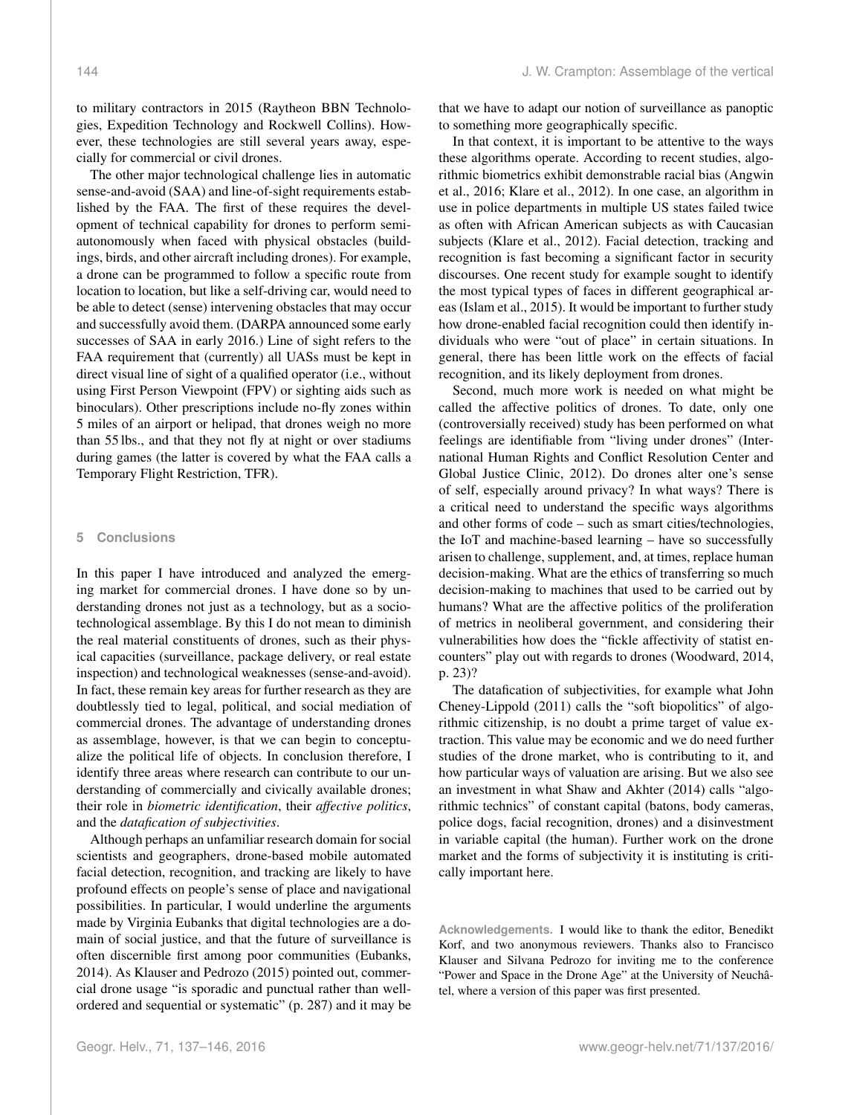to military contractors in 2015 (Raytheon BBN Technologies, Expedition Technology and Rockwell Collins). However, these technologies are still several years away, especially for commercial or civil drones.

The other major technological challenge lies in automatic sense-and-avoid (SAA) and line-of-sight requirements established by the FAA. The first of these requires the development of technical capability for drones to perform semiautonomously when faced with physical obstacles (buildings, birds, and other aircraft including drones). For example, a drone can be programmed to follow a specific route from location to location, but like a self-driving car, would need to be able to detect (sense) intervening obstacles that may occur and successfully avoid them. (DARPA announced some early successes of SAA in early 2016.) Line of sight refers to the FAA requirement that (currently) all UASs must be kept in direct visual line of sight of a qualified operator (i.e., without using First Person Viewpoint (FPV) or sighting aids such as binoculars). Other prescriptions include no-fly zones within 5 miles of an airport or helipad, that drones weigh no more than 55 lbs., and that they not fly at night or over stadiums during games (the latter is covered by what the FAA calls a Temporary Flight Restriction, TFR).

## **5 Conclusions**

In this paper I have introduced and analyzed the emerging market for commercial drones. I have done so by understanding drones not just as a technology, but as a sociotechnological assemblage. By this I do not mean to diminish the real material constituents of drones, such as their physical capacities (surveillance, package delivery, or real estate inspection) and technological weaknesses (sense-and-avoid). In fact, these remain key areas for further research as they are doubtlessly tied to legal, political, and social mediation of commercial drones. The advantage of understanding drones as assemblage, however, is that we can begin to conceptualize the political life of objects. In conclusion therefore, I identify three areas where research can contribute to our understanding of commercially and civically available drones; their role in *biometric identification*, their *affective politics*, and the *datafication of subjectivities*.

Although perhaps an unfamiliar research domain for social scientists and geographers, drone-based mobile automated facial detection, recognition, and tracking are likely to have profound effects on people's sense of place and navigational possibilities. In particular, I would underline the arguments made by Virginia Eubanks that digital technologies are a domain of social justice, and that the future of surveillance is often discernible first among poor communities (Eubanks, 2014). As Klauser and Pedrozo (2015) pointed out, commercial drone usage "is sporadic and punctual rather than wellordered and sequential or systematic" (p. 287) and it may be that we have to adapt our notion of surveillance as panoptic to something more geographically specific.

In that context, it is important to be attentive to the ways these algorithms operate. According to recent studies, algorithmic biometrics exhibit demonstrable racial bias (Angwin et al., 2016; Klare et al., 2012). In one case, an algorithm in use in police departments in multiple US states failed twice as often with African American subjects as with Caucasian subjects (Klare et al., 2012). Facial detection, tracking and recognition is fast becoming a significant factor in security discourses. One recent study for example sought to identify the most typical types of faces in different geographical areas (Islam et al., 2015). It would be important to further study how drone-enabled facial recognition could then identify individuals who were "out of place" in certain situations. In general, there has been little work on the effects of facial recognition, and its likely deployment from drones.

Second, much more work is needed on what might be called the affective politics of drones. To date, only one (controversially received) study has been performed on what feelings are identifiable from "living under drones" (International Human Rights and Conflict Resolution Center and Global Justice Clinic, 2012). Do drones alter one's sense of self, especially around privacy? In what ways? There is a critical need to understand the specific ways algorithms and other forms of code – such as smart cities/technologies, the IoT and machine-based learning – have so successfully arisen to challenge, supplement, and, at times, replace human decision-making. What are the ethics of transferring so much decision-making to machines that used to be carried out by humans? What are the affective politics of the proliferation of metrics in neoliberal government, and considering their vulnerabilities how does the "fickle affectivity of statist encounters" play out with regards to drones (Woodward, 2014, p. 23)?

The datafication of subjectivities, for example what John Cheney-Lippold (2011) calls the "soft biopolitics" of algorithmic citizenship, is no doubt a prime target of value extraction. This value may be economic and we do need further studies of the drone market, who is contributing to it, and how particular ways of valuation are arising. But we also see an investment in what Shaw and Akhter (2014) calls "algorithmic technics" of constant capital (batons, body cameras, police dogs, facial recognition, drones) and a disinvestment in variable capital (the human). Further work on the drone market and the forms of subjectivity it is instituting is critically important here.

**Acknowledgements.** I would like to thank the editor, Benedikt Korf, and two anonymous reviewers. Thanks also to Francisco Klauser and Silvana Pedrozo for inviting me to the conference "Power and Space in the Drone Age" at the University of Neuchâtel, where a version of this paper was first presented.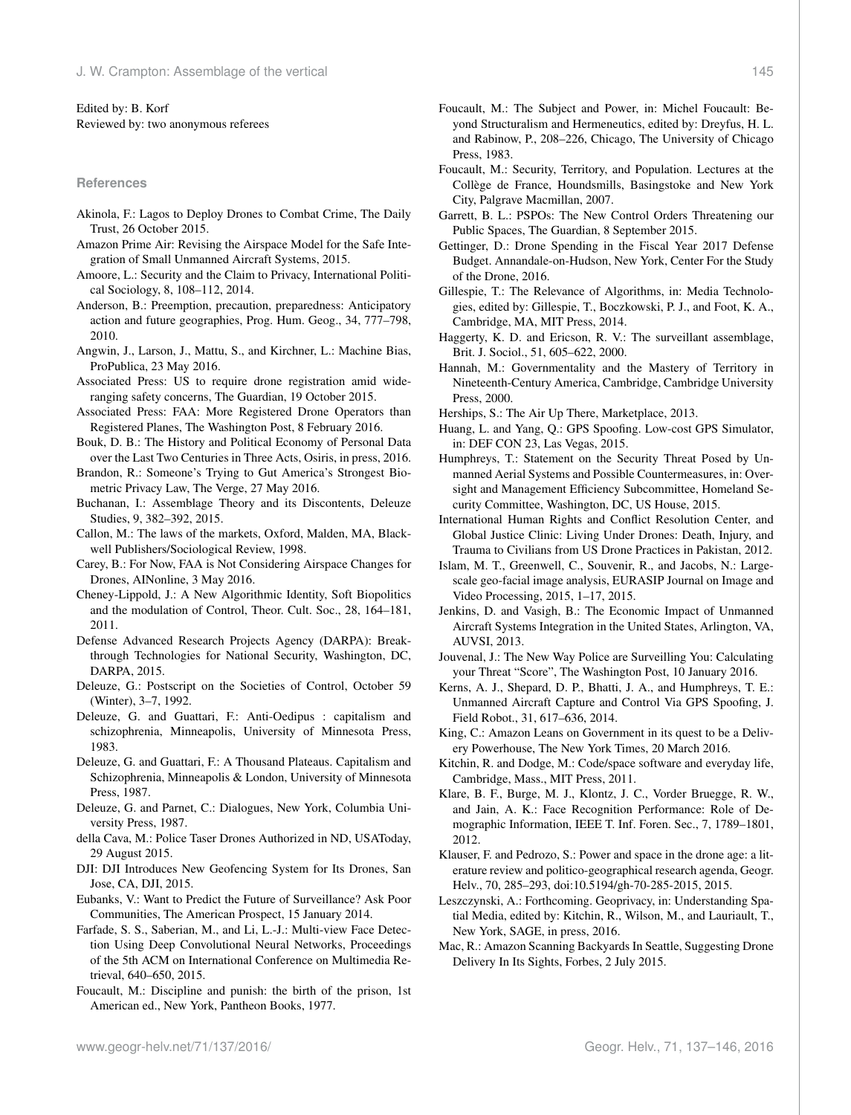#### Edited by: B. Korf Reviewed by: two anonymous referees

#### **References**

- Akinola, F.: Lagos to Deploy Drones to Combat Crime, The Daily Trust, 26 October 2015.
- Amazon Prime Air: Revising the Airspace Model for the Safe Integration of Small Unmanned Aircraft Systems, 2015.
- Amoore, L.: Security and the Claim to Privacy, International Political Sociology, 8, 108–112, 2014.
- Anderson, B.: Preemption, precaution, preparedness: Anticipatory action and future geographies, Prog. Hum. Geog., 34, 777–798, 2010.
- Angwin, J., Larson, J., Mattu, S., and Kirchner, L.: Machine Bias, ProPublica, 23 May 2016.
- Associated Press: US to require drone registration amid wideranging safety concerns, The Guardian, 19 October 2015.
- Associated Press: FAA: More Registered Drone Operators than Registered Planes, The Washington Post, 8 February 2016.
- Bouk, D. B.: The History and Political Economy of Personal Data over the Last Two Centuries in Three Acts, Osiris, in press, 2016.
- Brandon, R.: Someone's Trying to Gut America's Strongest Biometric Privacy Law, The Verge, 27 May 2016.
- Buchanan, I.: Assemblage Theory and its Discontents, Deleuze Studies, 9, 382–392, 2015.
- Callon, M.: The laws of the markets, Oxford, Malden, MA, Blackwell Publishers/Sociological Review, 1998.
- Carey, B.: For Now, FAA is Not Considering Airspace Changes for Drones, AINonline, 3 May 2016.
- Cheney-Lippold, J.: A New Algorithmic Identity, Soft Biopolitics and the modulation of Control, Theor. Cult. Soc., 28, 164–181, 2011.
- Defense Advanced Research Projects Agency (DARPA): Breakthrough Technologies for National Security, Washington, DC, DARPA, 2015.
- Deleuze, G.: Postscript on the Societies of Control, October 59 (Winter), 3–7, 1992.
- Deleuze, G. and Guattari, F.: Anti-Oedipus : capitalism and schizophrenia, Minneapolis, University of Minnesota Press, 1983.
- Deleuze, G. and Guattari, F.: A Thousand Plateaus. Capitalism and Schizophrenia, Minneapolis & London, University of Minnesota Press, 1987.
- Deleuze, G. and Parnet, C.: Dialogues, New York, Columbia University Press, 1987.
- della Cava, M.: Police Taser Drones Authorized in ND, USAToday, 29 August 2015.
- DJI: DJI Introduces New Geofencing System for Its Drones, San Jose, CA, DJI, 2015.
- Eubanks, V.: Want to Predict the Future of Surveillance? Ask Poor Communities, The American Prospect, 15 January 2014.
- Farfade, S. S., Saberian, M., and Li, L.-J.: Multi-view Face Detection Using Deep Convolutional Neural Networks, Proceedings of the 5th ACM on International Conference on Multimedia Retrieval, 640–650, 2015.
- Foucault, M.: Discipline and punish: the birth of the prison, 1st American ed., New York, Pantheon Books, 1977.
- Foucault, M.: The Subject and Power, in: Michel Foucault: Beyond Structuralism and Hermeneutics, edited by: Dreyfus, H. L. and Rabinow, P., 208–226, Chicago, The University of Chicago Press, 1983.
- Foucault, M.: Security, Territory, and Population. Lectures at the Collège de France, Houndsmills, Basingstoke and New York City, Palgrave Macmillan, 2007.
- Garrett, B. L.: PSPOs: The New Control Orders Threatening our Public Spaces, The Guardian, 8 September 2015.
- Gettinger, D.: Drone Spending in the Fiscal Year 2017 Defense Budget. Annandale-on-Hudson, New York, Center For the Study of the Drone, 2016.
- Gillespie, T.: The Relevance of Algorithms, in: Media Technologies, edited by: Gillespie, T., Boczkowski, P. J., and Foot, K. A., Cambridge, MA, MIT Press, 2014.
- Haggerty, K. D. and Ericson, R. V.: The surveillant assemblage, Brit. J. Sociol., 51, 605–622, 2000.
- Hannah, M.: Governmentality and the Mastery of Territory in Nineteenth-Century America, Cambridge, Cambridge University Press, 2000.
- Herships, S.: The Air Up There, Marketplace, 2013.
- Huang, L. and Yang, Q.: GPS Spoofing. Low-cost GPS Simulator, in: DEF CON 23, Las Vegas, 2015.
- Humphreys, T.: Statement on the Security Threat Posed by Unmanned Aerial Systems and Possible Countermeasures, in: Oversight and Management Efficiency Subcommittee, Homeland Security Committee, Washington, DC, US House, 2015.
- International Human Rights and Conflict Resolution Center, and Global Justice Clinic: Living Under Drones: Death, Injury, and Trauma to Civilians from US Drone Practices in Pakistan, 2012.
- Islam, M. T., Greenwell, C., Souvenir, R., and Jacobs, N.: Largescale geo-facial image analysis, EURASIP Journal on Image and Video Processing, 2015, 1–17, 2015.
- Jenkins, D. and Vasigh, B.: The Economic Impact of Unmanned Aircraft Systems Integration in the United States, Arlington, VA, AUVSI, 2013.
- Jouvenal, J.: The New Way Police are Surveilling You: Calculating your Threat "Score", The Washington Post, 10 January 2016.
- Kerns, A. J., Shepard, D. P., Bhatti, J. A., and Humphreys, T. E.: Unmanned Aircraft Capture and Control Via GPS Spoofing, J. Field Robot., 31, 617–636, 2014.
- King, C.: Amazon Leans on Government in its quest to be a Delivery Powerhouse, The New York Times, 20 March 2016.
- Kitchin, R. and Dodge, M.: Code/space software and everyday life, Cambridge, Mass., MIT Press, 2011.
- Klare, B. F., Burge, M. J., Klontz, J. C., Vorder Bruegge, R. W., and Jain, A. K.: Face Recognition Performance: Role of Demographic Information, IEEE T. Inf. Foren. Sec., 7, 1789–1801, 2012.
- Klauser, F. and Pedrozo, S.: Power and space in the drone age: a literature review and politico-geographical research agenda, Geogr. Helv., 70, 285–293, doi[:10.5194/gh-70-285-2015,](http://dx.doi.org/10.5194/gh-70-285-2015) 2015.
- Leszczynski, A.: Forthcoming. Geoprivacy, in: Understanding Spatial Media, edited by: Kitchin, R., Wilson, M., and Lauriault, T., New York, SAGE, in press, 2016.
- Mac, R.: Amazon Scanning Backyards In Seattle, Suggesting Drone Delivery In Its Sights, Forbes, 2 July 2015.